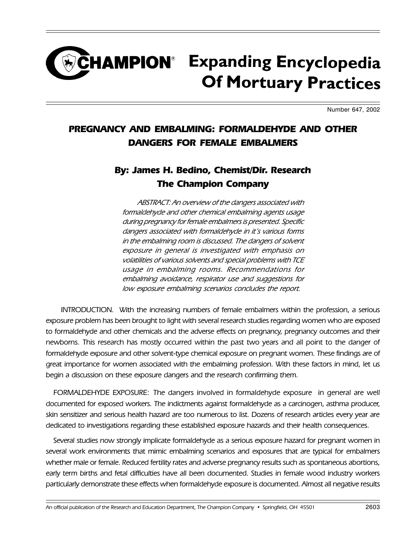## **CHAMPION**<sup>®</sup> Expanding Encyclopedia **Of Mortuary Practices**

Number 647, 2002

## PREGNANCY AND EMBALMING: FORMALDEHYDE AND OTHER DANGERS FOR FEMALE EMBALMERS

## By: James H. Bedino, Chemist/Dir. Research The Champion Company

ABSTRACT: An overview of the dangers associated with formaldehyde and other chemical embalming agents usage during pregnancy for female embalmers is presented. Specific dangers associated with formaldehyde in it's various forms in the embalming room is discussed. The dangers of solvent exposure in general is investigated with emphasis on volatilities of various solvents and special problems with TCE usage in embalming rooms. Recommendations for embalming avoidance, respirator use and suggestions for low exposure embalming scenarios concludes the report.

INTRODUCTION. With the increasing numbers of female embalmers within the profession, a serious exposure problem has been brought to light with several research studies regarding women who are exposed to formaldehyde and other chemicals and the adverse effects on pregnancy, pregnancy outcomes and their newborns. This research has mostly occurred within the past two years and all point to the danger of formaldehyde exposure and other solvent-type chemical exposure on pregnant women. These findings are of great importance for women associated with the embalming profession. With these factors in mind, let us begin a discussion on these exposure dangers and the research confirming them.

FORMALDEHYDE EXPOSURE: The dangers involved in formaldehyde exposure in general are well documented for exposed workers. The indictments against formaldehyde as a carcinogen, asthma producer, skin sensitizer and serious health hazard are too numerous to list. Dozens of research articles every year are dedicated to investigations regarding these established exposure hazards and their health consequences.

Several studies now strongly implicate formaldehyde as a serious exposure hazard for pregnant women in several work environments that mimic embalming scenarios and exposures that are typical for embalmers whether male or female. Reduced fertility rates and adverse pregnancy results such as spontaneous abortions, early term births and fetal difficulties have all been documented. Studies in female wood industry workers particularly demonstrate these effects when formaldehyde exposure is documented. Almost all negative results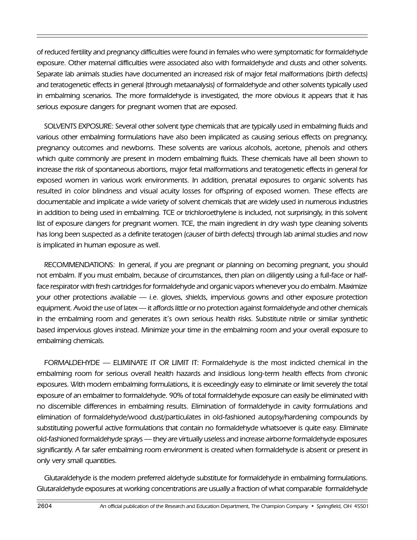of reduced fertility and pregnancy difficulties were found in females who were symptomatic for formaldehyde exposure. Other maternal difficulties were associated also with formaldehyde and dusts and other solvents. Separate lab animals studies have documented an increased risk of major fetal malformations (birth defects) and teratogenetic effects in general (through metaanalysis) of formaldehyde and other solvents typically used in embalming scenarios. The more formaldehyde is investigated, the more obvious it appears that it has serious exposure dangers for pregnant women that are exposed.

SOLVENTS EXPOSURE: Several other solvent type chemicals that are typically used in embalming fluids and various other embalming formulations have also been implicated as causing serious effects on pregnancy, pregnancy outcomes and newborns. These solvents are various alcohols, acetone, phenols and others which quite commonly are present in modern embalming fluids. These chemicals have all been shown to increase the risk of spontaneous abortions, major fetal malformations and teratogenetic effects in general for exposed women in various work environments. In addition, prenatal exposures to organic solvents has resulted in color blindness and visual acuity losses for offspring of exposed women. These effects are documentable and implicate a wide variety of solvent chemicals that are widely used in numerous industries in addition to being used in embalming. TCE or trichloroethylene is included, not surprisingly, in this solvent list of exposure dangers for pregnant women. TCE, the main ingredient in dry wash type cleaning solvents has long been suspected as a definite teratogen (causer of birth defects) through lab animal studies and now is implicated in human exposure as well.

RECOMMENDATIONS: In general, if you are pregnant or planning on becoming pregnant, you should not embalm. If you must embalm, because of circumstances, then plan on diligently using a full-face or halfface respirator with fresh cartridges for formaldehyde and organic vapors whenever you do embalm. Maximize your other protections available - i.e. gloves, shields, impervious gowns and other exposure protection equipment. Avoid the use of latex — it affords little or no protection against formaldehyde and other chemicals in the embalming room and generates it's own serious health risks. Substitute nitrile or similar synthetic based impervious gloves instead. Minimize your time in the embalming room and your overall exposure to embalming chemicals.

FORMALDEHYDE ELIMINATE IT OR LIMIT IT: Formaldehyde is the most indicted chemical in the embalming room for serious overall health hazards and insidious long-term health effects from chronic exposures. With modern embalming formulations, it is exceedingly easy to eliminate or limit severely the total exposure of an embalmer to formaldehyde. 90% of total formaldehyde exposure can easily be eliminated with no discernible differences in embalming results. Elimination of formaldehyde in cavity formulations and elimination of formaldehyde/wood dust/particulates in old-fashioned autopsy/hardening compounds by substituting powerful active formulations that contain no formaldehyde whatsoever is quite easy. Eliminate old-fashioned formaldehyde sprays — they are virtually useless and increase airborne formaldehyde exposures significantly. A far safer embalming room environment is created when formaldehyde is absent or present in only very small quantities.

Glutaraldehyde is the modern preferred aldehyde substitute for formaldehyde in embalming formulations. Glutaraldehyde exposures at working concentrations are usually a fraction of what comparable formaldehyde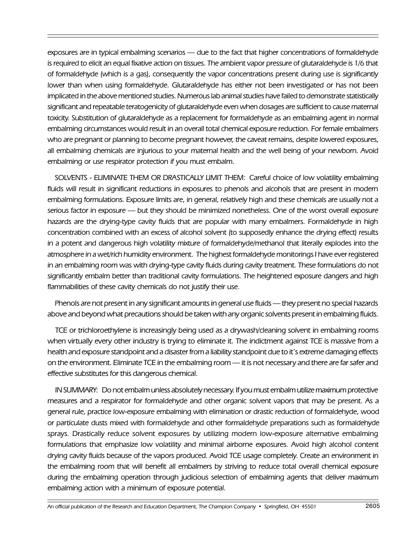exposures are in typical embalming scenarios - due to the fact that higher concentrations of formaldehyde is required to elicit an equal fixative action on tissues. The ambient vapor pressure of glutaraldehyde is 1/6 that of formaldehyde (which is a gas), consequently the vapor concentrations present during use is significantly lower than when using formaldehyde. Glutaraldehyde has either not been investigated or has not been implicated in the above mentioned studies. Numerous lab animal studies have failed to demonstrate statistically significant and repeatable teratogenicity of glutaraldehyde even when dosages are sufficient to cause maternal toxicity. Substitution of glutaraldehyde as a replacement for formaldehyde as an embalming agent in normal embalming circumstances would result in an overall total chemical exposure reduction. For female embalmers who are pregnant or planning to become pregnant however, the caveat remains, despite lowered exposures, all embalming chemicals are injurious to your maternal health and the well being of your newborn. Avoid embalming or use respirator protection if you must embalm.

SOLVENTS - ELIMINATE THEM OR DRASTICALLY LIMIT THEM: Careful choice of low volatility embalming fluids will result in significant reductions in exposures to phenols and alcohols that are present in modern embalming formulations. Exposure limits are, in general, relatively high and these chemicals are usually not a serious factor in exposure — but they should be minimized nonetheless. One of the worst overall exposure hazards are the drying-type cavity fluids that are popular with many embalmers. Formaldehyde in high concentration combined with an excess of alcohol solvent (to supposedly enhance the drying effect) results in a potent and dangerous high volatility mixture of formaldehyde/methanol that literally explodes into the atmosphere in a wet/rich humidity environment. The highest formaldehyde monitorings I have ever registered in an embalming room was with drying-type cavity fluids during cavity treatment. These formulations do not significantly embalm better than traditional cavity formulations. The heightened exposure dangers and high flammabilities of these cavity chemicals do not justify their use.

Phenols are not present in any significant amounts in general use fluids — they present no special hazards above and beyond what precautions should be taken with any organic solvents present in embalming fluids.

TCE or trichloroethylene is increasingly being used as a drywash/cleaning solvent in embalming rooms when virtually every other industry is trying to eliminate it. The indictment against TCE is massive from a health and exposure standpoint and a disaster from a liability standpoint due to it's extreme damaging effects on the environment. Eliminate TCE in the embalming room — it is not necessary and there are far safer and effective substitutes for this dangerous chemical.

IN SUMMARY: Do not embalm unless absolutely necessary. If you must embalm utilize maximum protective measures and a respirator for formaldehyde and other organic solvent vapors that may be present. As a general rule, practice low-exposure embalming with elimination or drastic reduction of formaldehyde, wood or particulate dusts mixed with formaldehyde and other formaldehyde preparations such as formaldehyde sprays. Drastically reduce solvent exposures by utilizing modern low-exposure alternative embalming formulations that emphasize low volatility and minimal airborne exposures. Avoid high alcohol content drying cavity fluids because of the vapors produced. Avoid TCE usage completely. Create an environment in the embalming room that will benefit all embalmers by striving to reduce total overall chemical exposure during the embalming operation through judicious selection of embalming agents that deliver maximum embalming action with a minimum of exposure potential.